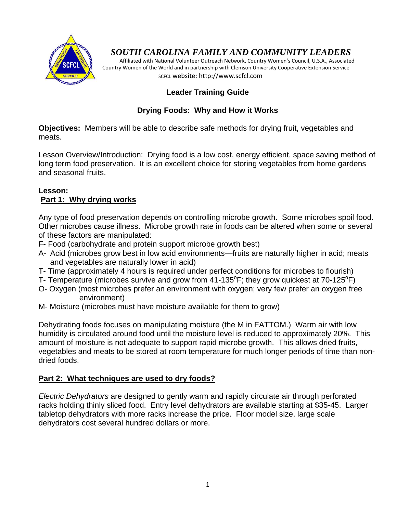

# *SOUTH CAROLINA FAMILY AND COMMUNITY LEADERS*

 Affiliated with National Volunteer Outreach Network, Country Women's Council, U.S.A., Associated Country Women of the World and in partnership with Clemson University Cooperative Extension Service SCFCL website: http://www.scfcl.com

### **Leader Training Guide**

## **Drying Foods: Why and How it Works**

**Objectives:** Members will be able to describe safe methods for drying fruit, vegetables and meats.

Lesson Overview/Introduction: Drying food is a low cost, energy efficient, space saving method of long term food preservation. It is an excellent choice for storing vegetables from home gardens and seasonal fruits.

### **Lesson: Part 1: Why drying works**

Any type of food preservation depends on controlling microbe growth. Some microbes spoil food. Other microbes cause illness. Microbe growth rate in foods can be altered when some or several of these factors are manipulated:

- F- Food (carbohydrate and protein support microbe growth best)
- A- Acid (microbes grow best in low acid environments—fruits are naturally higher in acid; meats and vegetables are naturally lower in acid)
- T- Time (approximately 4 hours is required under perfect conditions for microbes to flourish)
- T- Temperature (microbes survive and grow from 41-135°F; they grow quickest at 70-125°F)
- O- Oxygen (most microbes prefer an environment with oxygen; very few prefer an oxygen free environment)
- M- Moisture (microbes must have moisture available for them to grow)

Dehydrating foods focuses on manipulating moisture (the M in FATTOM.) Warm air with low humidity is circulated around food until the moisture level is reduced to approximately 20%. This amount of moisture is not adequate to support rapid microbe growth. This allows dried fruits, vegetables and meats to be stored at room temperature for much longer periods of time than nondried foods.

### **Part 2: What techniques are used to dry foods?**

*Electric Dehydrators* are designed to gently warm and rapidly circulate air through perforated racks holding thinly sliced food. Entry level dehydrators are available starting at \$35-45. Larger tabletop dehydrators with more racks increase the price. Floor model size, large scale dehydrators cost several hundred dollars or more.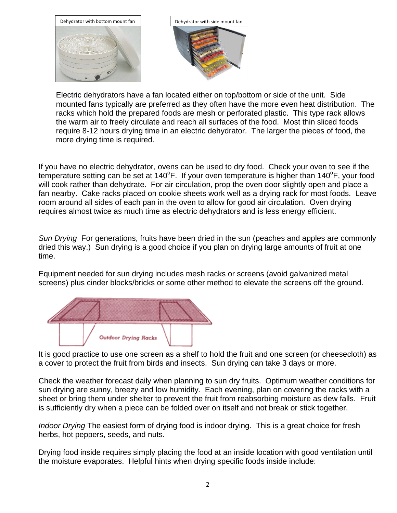

Electric dehydrators have a fan located either on top/bottom or side of the unit. Side mounted fans typically are preferred as they often have the more even heat distribution. The racks which hold the prepared foods are mesh or perforated plastic. This type rack allows the warm air to freely circulate and reach all surfaces of the food. Most thin sliced foods require 8-12 hours drying time in an electric dehydrator. The larger the pieces of food, the more drying time is required.

If you have no electric dehydrator, ovens can be used to dry food. Check your oven to see if the temperature setting can be set at 140°F. If your oven temperature is higher than 140°F, your food will cook rather than dehydrate. For air circulation, prop the oven door slightly open and place a fan nearby. Cake racks placed on cookie sheets work well as a drying rack for most foods. Leave room around all sides of each pan in the oven to allow for good air circulation. Oven drying requires almost twice as much time as electric dehydrators and is less energy efficient.

*Sun Drying* For generations, fruits have been dried in the sun (peaches and apples are commonly dried this way.) Sun drying is a good choice if you plan on drying large amounts of fruit at one time.

Equipment needed for sun drying includes mesh racks or screens (avoid galvanized metal screens) plus cinder blocks/bricks or some other method to elevate the screens off the ground.



It is good practice to use one screen as a shelf to hold the fruit and one screen (or cheesecloth) as a cover to protect the fruit from birds and insects. Sun drying can take 3 days or more.

Check the weather forecast daily when planning to sun dry fruits. Optimum weather conditions for sun drying are sunny, breezy and low humidity. Each evening, plan on covering the racks with a sheet or bring them under shelter to prevent the fruit from reabsorbing moisture as dew falls. Fruit is sufficiently dry when a piece can be folded over on itself and not break or stick together.

*Indoor Drying* The easiest form of drying food is indoor drying. This is a great choice for fresh herbs, hot peppers, seeds, and nuts.

Drying food inside requires simply placing the food at an inside location with good ventilation until the moisture evaporates. Helpful hints when drying specific foods inside include: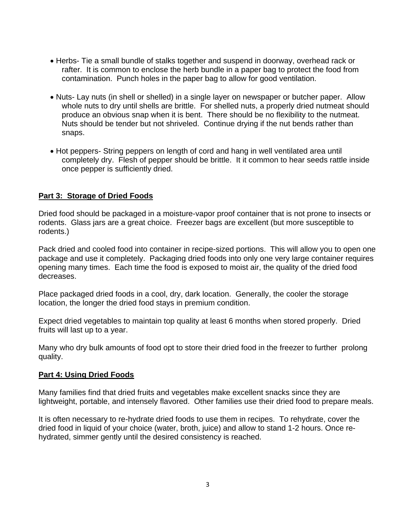- Herbs- Tie a small bundle of stalks together and suspend in doorway, overhead rack or rafter. It is common to enclose the herb bundle in a paper bag to protect the food from contamination. Punch holes in the paper bag to allow for good ventilation.
- Nuts- Lay nuts (in shell or shelled) in a single layer on newspaper or butcher paper. Allow whole nuts to dry until shells are brittle. For shelled nuts, a properly dried nutmeat should produce an obvious snap when it is bent. There should be no flexibility to the nutmeat. Nuts should be tender but not shriveled. Continue drying if the nut bends rather than snaps.
- Hot peppers- String peppers on length of cord and hang in well ventilated area until completely dry. Flesh of pepper should be brittle. It it common to hear seeds rattle inside once pepper is sufficiently dried.

#### **Part 3: Storage of Dried Foods**

Dried food should be packaged in a moisture-vapor proof container that is not prone to insects or rodents. Glass jars are a great choice. Freezer bags are excellent (but more susceptible to rodents.)

Pack dried and cooled food into container in recipe-sized portions. This will allow you to open one package and use it completely. Packaging dried foods into only one very large container requires opening many times. Each time the food is exposed to moist air, the quality of the dried food decreases.

Place packaged dried foods in a cool, dry, dark location. Generally, the cooler the storage location, the longer the dried food stays in premium condition.

Expect dried vegetables to maintain top quality at least 6 months when stored properly. Dried fruits will last up to a year.

Many who dry bulk amounts of food opt to store their dried food in the freezer to further prolong quality.

#### **Part 4: Using Dried Foods**

Many families find that dried fruits and vegetables make excellent snacks since they are lightweight, portable, and intensely flavored. Other families use their dried food to prepare meals.

It is often necessary to re-hydrate dried foods to use them in recipes. To rehydrate, cover the dried food in liquid of your choice (water, broth, juice) and allow to stand 1-2 hours. Once rehydrated, simmer gently until the desired consistency is reached.